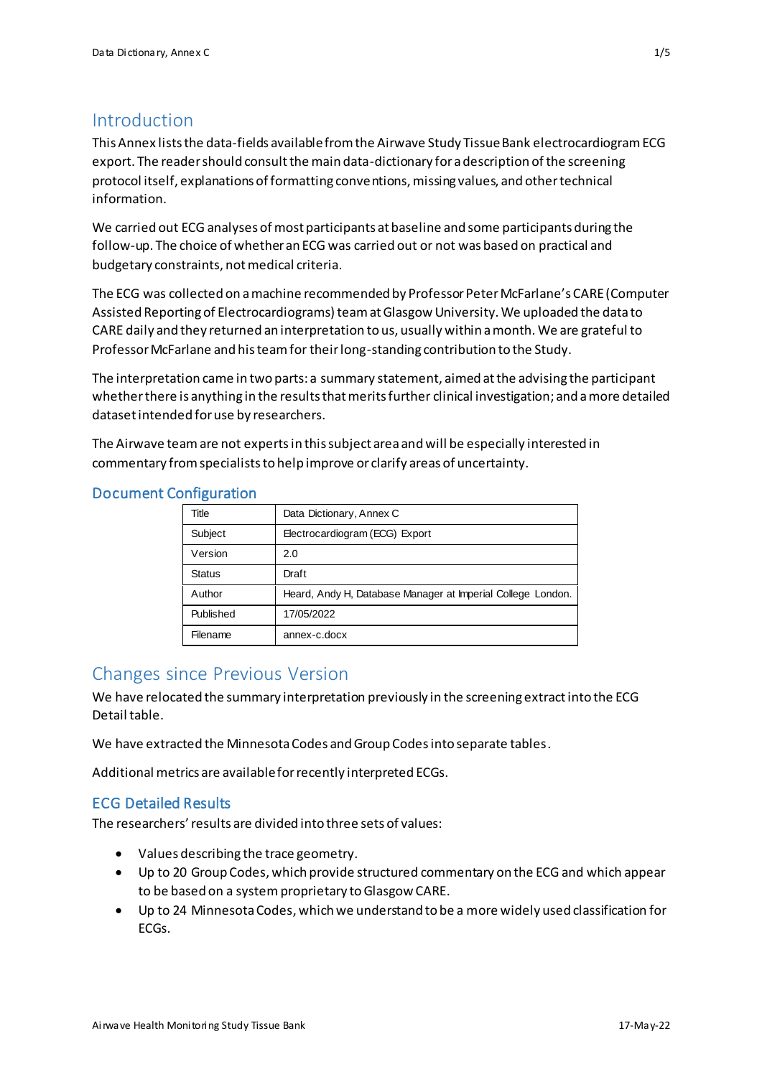## Introduction

This Annex lists the data-fields available from the Airwave Study Tissue Bank electrocardiogram ECG export. The reader should consult the main data-dictionary for a description of the screening protocol itself, explanations of formatting conventions, missing values, and other technical information.

We carried out ECG analyses of most participants at baseline and some participants during the follow-up. The choice of whether an ECG was carried out or not was based on practical and budgetary constraints, not medical criteria.

The ECG was collected on a machine recommended by Professor Peter McFarlane's CARE (Computer Assisted Reporting of Electrocardiograms) team at Glasgow University. We uploaded the data to CARE daily and they returned an interpretation to us, usually within a month. We are grateful to Professor McFarlane and his team for their long-standing contribution to the Study.

The interpretation came in two parts: a summary statement, aimed at the advising the participant whetherthere is anything in the results that merits further clinical investigation; and a more detailed dataset intended for use by researchers.

The Airwave team are not expertsin this subject area and will be especially interested in commentary from specialists to help improve or clarify areas of uncertainty.

| Title            | Data Dictionary, Annex C                                    |
|------------------|-------------------------------------------------------------|
| Subject          | Electrocardiogram (ECG) Export                              |
| Version          | 2.0                                                         |
| <b>Status</b>    | Draft                                                       |
| Author           | Heard, Andy H, Database Manager at Imperial College London. |
| <b>Published</b> | 17/05/2022                                                  |
| Filename         | annex-c.docx                                                |

## Document Configuration

## Changes since Previous Version

We have relocated the summary interpretation previously in the screening extract into the ECG Detail table.

We have extracted the Minnesota Codes and Group Codes into separate tables.

Additional metrics are available for recently interpreted ECGs.

## ECG Detailed Results

The researchers' results are divided into three sets of values:

- Values describing the trace geometry.
- Up to 20 Group Codes, which provide structured commentary on the ECG and which appear to be based on a system proprietary to Glasgow CARE.
- Up to 24 Minnesota Codes, which we understand to be a more widely used classification for ECGs.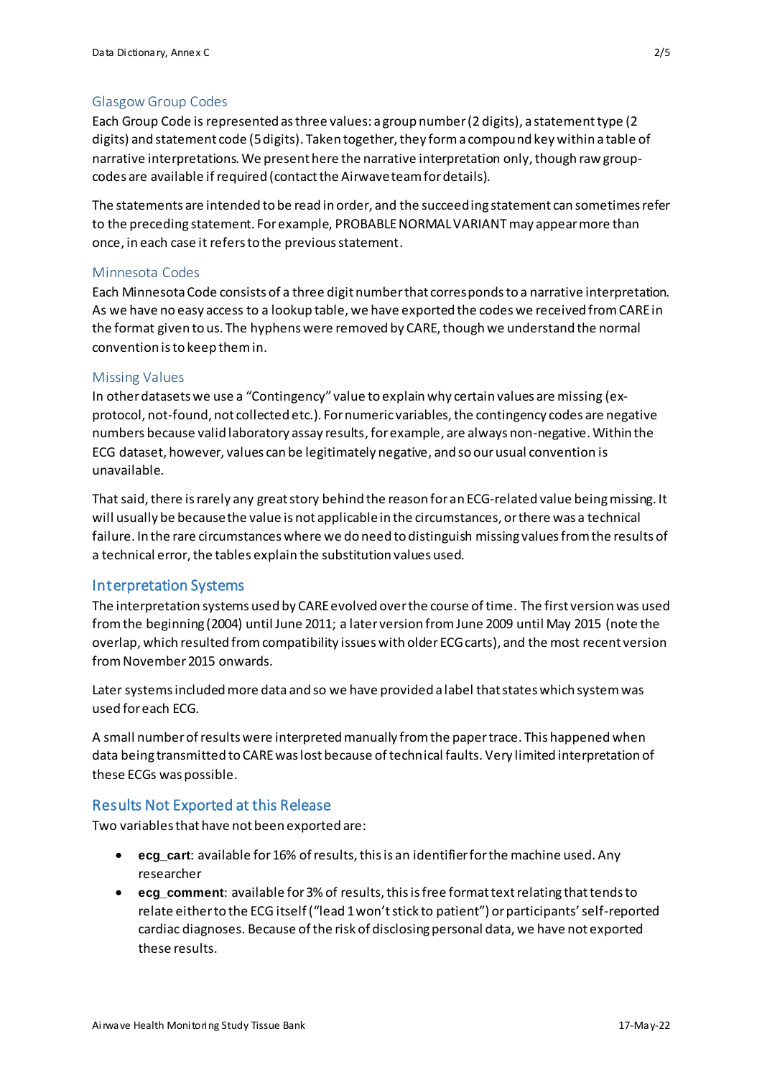## Glasgow Group Codes

Each Group Code is represented as three values: a group number (2 digits), a statement type (2 digits) and statement code (5 digits). Taken together, they form a compound key within a table of narrative interpretations. We present here the narrative interpretation only, though raw groupcodes are available if required (contact the Airwave team for details).

The statements are intended to be read in order, and the succeeding statement can sometimes refer to the preceding statement. For example, PROBABLE NORMAL VARIANTmay appear more than once, in each case it refers to the previous statement.

### Minnesota Codes

Each Minnesota Code consists of a three digit number that corresponds to a narrative interpretation. As we have no easy access to a lookup table, we have exported the codes we received from CARE in the format given to us. The hyphens were removed by CARE, though we understand the normal convention is to keep them in.

### Missing Values

In other datasets we use a "Contingency" value to explain why certain values are missing (exprotocol, not-found, not collected etc.). For numeric variables, the contingency codes are negative numbers because valid laboratory assay results, for example, are always non-negative. Within the ECG dataset, however, values can be legitimately negative, and so our usual convention is unavailable.

That said, there is rarely any great story behind the reason for an ECG-related value being missing. It will usually be because the value is not applicable in the circumstances, or there was a technical failure. In the rare circumstances where we do need to distinguish missing valuesfrom the results of a technical error, the tables explain the substitution values used.

## Interpretation Systems

The interpretation systems used by CARE evolved over the course of time. The first version was used from the beginning (2004) until June 2011; a later version from June 2009 until May 2015 (note the overlap, which resulted from compatibility issues with olderECG carts), and the most recent version from November 2015 onwards.

Later systems included more data and so we have provided a label that states which system was used for each ECG.

A small number of results were interpreted manually from the paper trace. This happened when data being transmitted to CARE was lost because of technical faults. Very limited interpretation of these ECGs was possible.

## Results Not Exported at this Release

Two variables that have not been exported are:

- **ecg\_cart**: available for 16% of results, this is an identifier for the machine used. Any researcher
- **ecg\_comment**: available for 3% of results, this is free format text relating that tends to relate either to the ECG itself ("lead 1 won't stick to patient") or participants' self-reported cardiac diagnoses. Because of the risk of disclosing personal data, we have not exported these results.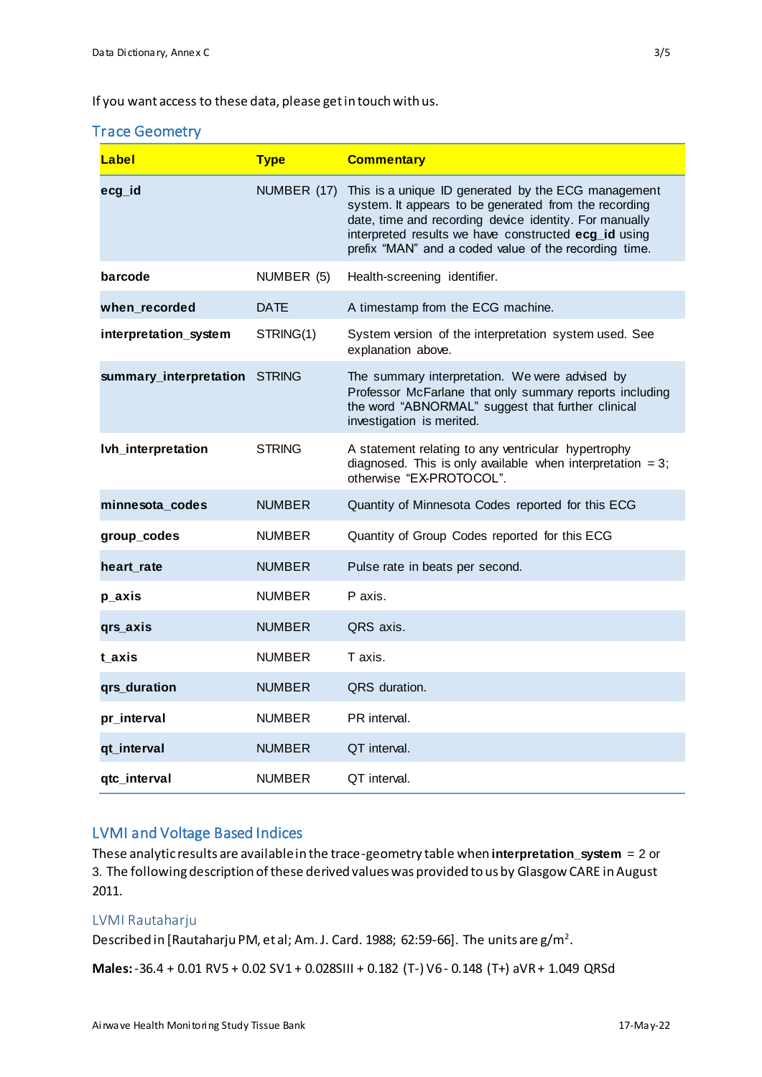If you want access to these data, please get in touch with us.

### Trace Geometry

| Label                  | <b>Type</b>   | <b>Commentary</b>                                                                                                                                                                                                                                                                       |
|------------------------|---------------|-----------------------------------------------------------------------------------------------------------------------------------------------------------------------------------------------------------------------------------------------------------------------------------------|
| ecg_id                 | NUMBER (17)   | This is a unique ID generated by the ECG management<br>system. It appears to be generated from the recording<br>date, time and recording device identity. For manually<br>interpreted results we have constructed ecg_id using<br>prefix "MAN" and a coded value of the recording time. |
| barcode                | NUMBER (5)    | Health-screening identifier.                                                                                                                                                                                                                                                            |
| when_recorded          | <b>DATE</b>   | A timestamp from the ECG machine.                                                                                                                                                                                                                                                       |
| interpretation_system  | STRING(1)     | System version of the interpretation system used. See<br>explanation above.                                                                                                                                                                                                             |
| summary_interpretation | <b>STRING</b> | The summary interpretation. We were advised by<br>Professor McFarlane that only summary reports including<br>the word "ABNORMAL" suggest that further clinical<br>investigation is merited.                                                                                             |
| Ivh_interpretation     | <b>STRING</b> | A statement relating to any ventricular hypertrophy<br>diagnosed. This is only available when interpretation $= 3$ ;<br>otherwise "EX-PROTOCOL".                                                                                                                                        |
| minnesota_codes        | <b>NUMBER</b> | Quantity of Minnesota Codes reported for this ECG                                                                                                                                                                                                                                       |
| group_codes            | <b>NUMBER</b> | Quantity of Group Codes reported for this ECG                                                                                                                                                                                                                                           |
| heart rate             | <b>NUMBER</b> | Pulse rate in beats per second.                                                                                                                                                                                                                                                         |
| p_axis                 | <b>NUMBER</b> | P axis.                                                                                                                                                                                                                                                                                 |
| qrs_axis               | <b>NUMBER</b> | QRS axis.                                                                                                                                                                                                                                                                               |
| t axis                 | <b>NUMBER</b> | T axis.                                                                                                                                                                                                                                                                                 |
| qrs_duration           | <b>NUMBER</b> | QRS duration.                                                                                                                                                                                                                                                                           |
| pr_interval            | <b>NUMBER</b> | PR interval.                                                                                                                                                                                                                                                                            |
| qt_interval            | <b>NUMBER</b> | QT interval.                                                                                                                                                                                                                                                                            |
| qtc_interval           | <b>NUMBER</b> | QT interval.                                                                                                                                                                                                                                                                            |

# LVMI and Voltage Based Indices

These analytic results are available in the trace-geometry table when **interpretation\_system** = 2 or 3. The following description of these derived values was provided to us by Glasgow CARE in August 2011.

### LVMI Rautaharju

Described in [Rautaharju PM, et al; Am. J. Card. 1988; 62:59-66]. The units are  $g/m^2$ .

**Males:**-36.4 + 0.01 RV5 + 0.02 SV1 + 0.028SIII + 0.182 (T-) V6 - 0.148 (T+) aVR + 1.049 QRSd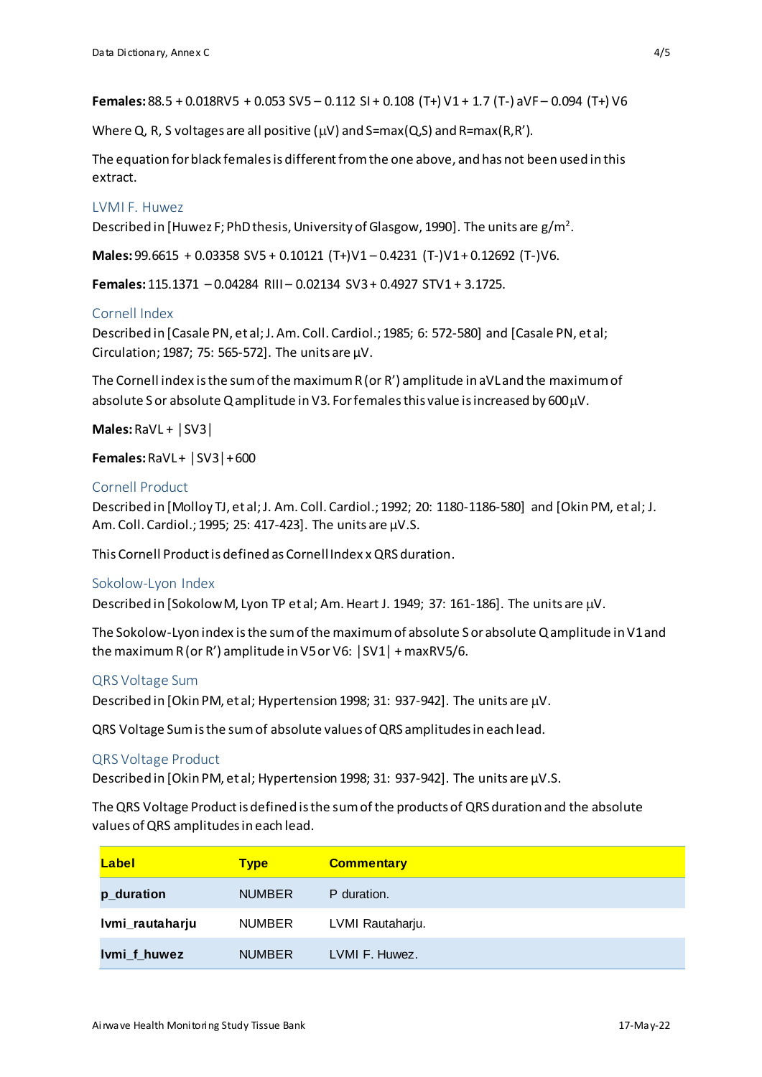**Females:** 88.5 + 0.018RV5 + 0.053 SV5 – 0.112 SI + 0.108 (T+) V1 + 1.7 (T-) aVF – 0.094 (T+) V6

Where Q, R, S voltages are all positive ( $\mu$ V) and S=max(Q,S) and R=max(R,R').

The equation for black females is different from the one above, and has not been used in this extract.

### LVMI F. Huwez

Described in [Huwez F; PhD thesis, University of Glasgow, 1990]. The units are g/m<sup>2</sup>.

**Males:** 99.6615 + 0.03358 SV5 + 0.10121 (T+)V1 – 0.4231 (T-)V1 + 0.12692 (T-)V6.

**Females:** 115.1371 – 0.04284 RIII – 0.02134 SV3 + 0.4927 STV1 + 3.1725.

### Cornell Index

Described in [Casale PN, et al; J. Am. Coll. Cardiol.; 1985; 6: 572-580] and [Casale PN, et al; Circulation; 1987; 75: 565-572]. The units are  $\mu$ V.

The Cornell index is the sum of the maximum  $R$  (or  $R'$ ) amplitude in aVL and the maximum of absolute S or absolute Q amplitude in V3. For females this value is increased by 600 $\mu$ V.

**Males:**RaVL + │SV3│

**Females:**RaVL + │SV3│+ 600

### Cornell Product

Described in [Molloy TJ, et al; J. Am. Coll. Cardiol.; 1992; 20: 1180-1186-580] and [Okin PM, et al; J. Am. Coll. Cardiol.; 1995; 25: 417-423]. The units are µV.S.

This Cornell Product is defined as Cornell Index x QRS duration.

#### Sokolow-Lyon Index

Described in [Sokolow M, Lyon TP et al; Am. Heart J. 1949; 37: 161-186]. The units are  $\mu$ V.

The Sokolow-Lyon index is the sum of the maximum of absolute S or absolute Q amplitude in V1 and the maximum R (or R') amplitude in V5 or V6: │SV1│ + maxRV5/6.

#### QRS Voltage Sum

Described in [Okin PM, et al; Hypertension 1998; 31: 937-942]. The units are  $\mu$ V.

QRS Voltage Sum is the sum of absolute values of QRS amplitudes in each lead.

### QRS Voltage Product

Described in [Okin PM, et al; Hypertension 1998; 31: 937-942]. The units are µV.S.

The QRS Voltage Product is defined is the sum of the products of QRS duration and the absolute values of QRS amplitudes in each lead.

| Label           | <b>Type</b>   | <b>Commentary</b> |
|-----------------|---------------|-------------------|
| p_duration      | <b>NUMBER</b> | P duration.       |
| Ivmi_rautaharju | <b>NUMBER</b> | LVMI Rautaharju.  |
| Ivmi_f_huwez    | <b>NUMBER</b> | LVMI F. Huwez.    |